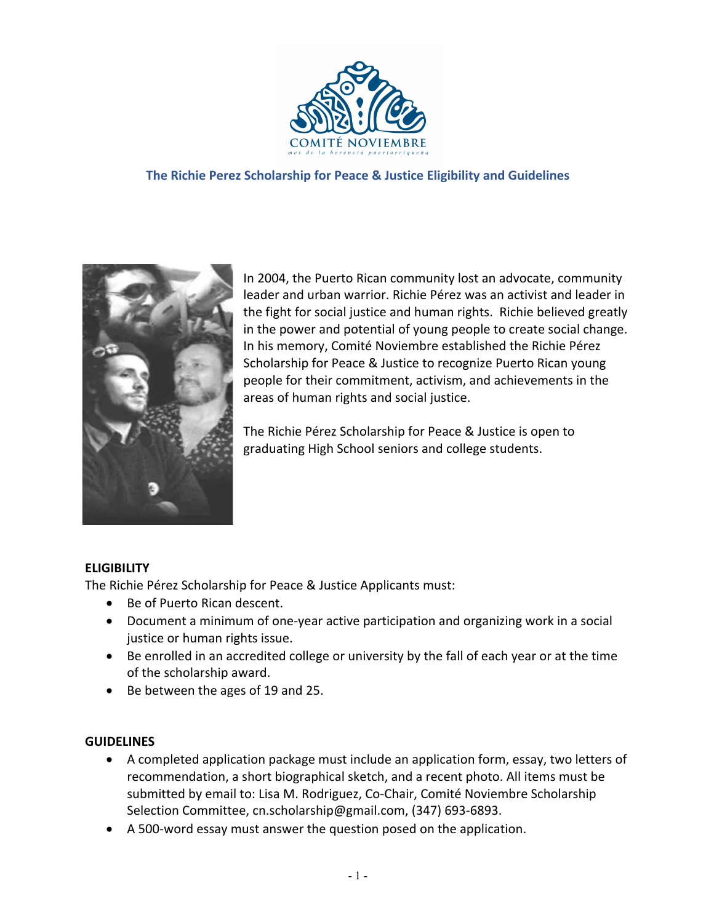

### **The Richie Perez Scholarship for Peace & Justice Eligibility and Guidelines**



In 2004, the Puerto Rican community lost an advocate, community leader and urban warrior. Richie Pérez was an activist and leader in the fight for social justice and human rights. Richie believed greatly in the power and potential of young people to create social change. In his memory, Comité Noviembre established the Richie Pérez Scholarship for Peace & Justice to recognize Puerto Rican young people for their commitment, activism, and achievements in the areas of human rights and social justice.

The Richie Pérez Scholarship for Peace & Justice is open to graduating High School seniors and college students.

## **ELIGIBILITY**

The Richie Pérez Scholarship for Peace & Justice Applicants must:

- Be of Puerto Rican descent.
- Document a minimum of one-year active participation and organizing work in a social justice or human rights issue.
- Be enrolled in an accredited college or university by the fall of each year or at the time of the scholarship award.
- Be between the ages of 19 and 25.

#### **GUIDELINES**

- A completed application package must include an application form, essay, two letters of recommendation, a short biographical sketch, and a recent photo. All items must be submitted by email to: Lisa M. Rodriguez, Co-Chair, Comité Noviembre Scholarship Selection Committee, cn.scholarship@gmail.com, (347) 693-6893.
- A 500-word essay must answer the question posed on the application.